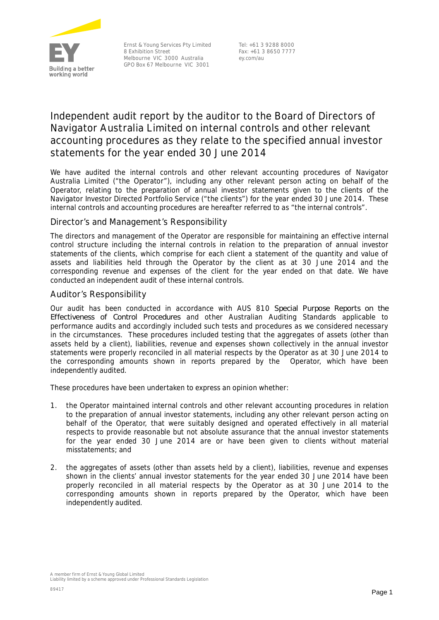

Ernst & Young Services Pty Limited 8 Exhibition Street Melbourne VIC 3000 Australia GPO Box 67 Melbourne VIC 3001

Tel: +61 3 9288 8000 Fax: +61 3 8650 7777 ey.com/au

# **Independent audit report by the auditor to the Board of Directors of Navigator Australia Limited on internal controls and other relevant accounting procedures as they relate to the specified annual investor statements for the year ended 30 June 2014**

We have audited the internal controls and other relevant accounting procedures of Navigator Australia Limited ("the Operator"), including any other relevant person acting on behalf of the Operator, relating to the preparation of annual investor statements given to the clients of the Navigator Investor Directed Portfolio Service ("the clients") for the year ended 30 June 2014. These internal controls and accounting procedures are hereafter referred to as "the internal controls".

## *Director's and Management's Responsibility*

The directors and management of the Operator are responsible for maintaining an effective internal control structure including the internal controls in relation to the preparation of annual investor statements of the clients, which comprise for each client a statement of the quantity and value of assets and liabilities held through the Operator by the client as at 30 June 2014 and the corresponding revenue and expenses of the client for the year ended on that date. We have conducted an independent audit of these internal controls.

## *Auditor's Responsibility*

Our audit has been conducted in accordance with AUS 810 *Special Purpose Reports on the Effectiveness of Control Procedures* and other Australian Auditing Standards applicable to performance audits and accordingly included such tests and procedures as we considered necessary in the circumstances. These procedures included testing that the aggregates of assets (other than assets held by a client), liabilities, revenue and expenses shown collectively in the annual investor statements were properly reconciled in all material respects by the Operator as at 30 June 2014 to the corresponding amounts shown in reports prepared by the Operator, which have been independently audited.

These procedures have been undertaken to express an opinion whether:

- 1. the Operator maintained internal controls and other relevant accounting procedures in relation to the preparation of annual investor statements, including any other relevant person acting on behalf of the Operator, that were suitably designed and operated effectively in all material respects to provide reasonable but not absolute assurance that the annual investor statements for the year ended 30 June 2014 are or have been given to clients without material misstatements; and
- 2. the aggregates of assets (other than assets held by a client), liabilities, revenue and expenses shown in the clients' annual investor statements for the year ended 30 June 2014 have been properly reconciled in all material respects by the Operator as at 30 June 2014 to the corresponding amounts shown in reports prepared by the Operator, which have been independently audited.

A member firm of Ernst & Young Global Limited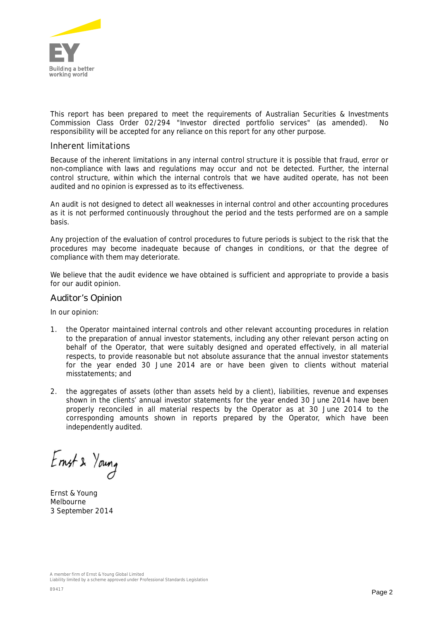

This report has been prepared to meet the requirements of Australian Securities & Investments Commission Class Order 02/294 "Investor directed portfolio services" (as amended). No responsibility will be accepted for any reliance on this report for any other purpose.

### *Inherent limitations*

Because of the inherent limitations in any internal control structure it is possible that fraud, error or non-compliance with laws and regulations may occur and not be detected. Further, the internal control structure, within which the internal controls that we have audited operate, has not been audited and no opinion is expressed as to its effectiveness.

An audit is not designed to detect all weaknesses in internal control and other accounting procedures as it is not performed continuously throughout the period and the tests performed are on a sample basis.

Any projection of the evaluation of control procedures to future periods is subject to the risk that the procedures may become inadequate because of changes in conditions, or that the degree of compliance with them may deteriorate.

We believe that the audit evidence we have obtained is sufficient and appropriate to provide a basis for our audit opinion.

#### Auditor's Opinion

In our opinion:

- 1. the Operator maintained internal controls and other relevant accounting procedures in relation to the preparation of annual investor statements, including any other relevant person acting on behalf of the Operator, that were suitably designed and operated effectively, in all material respects, to provide reasonable but not absolute assurance that the annual investor statements for the year ended 30 June 2014 are or have been given to clients without material misstatements; and
- 2. the aggregates of assets (other than assets held by a client), liabilities, revenue and expenses shown in the clients' annual investor statements for the year ended 30 June 2014 have been properly reconciled in all material respects by the Operator as at 30 June 2014 to the corresponding amounts shown in reports prepared by the Operator, which have been independently audited.

Ernst & Young

Ernst & Young Melbourne 3 September 2014

A member firm of Ernst & Young Global Limited Liability limited by a scheme approved under Professional Standards Legislation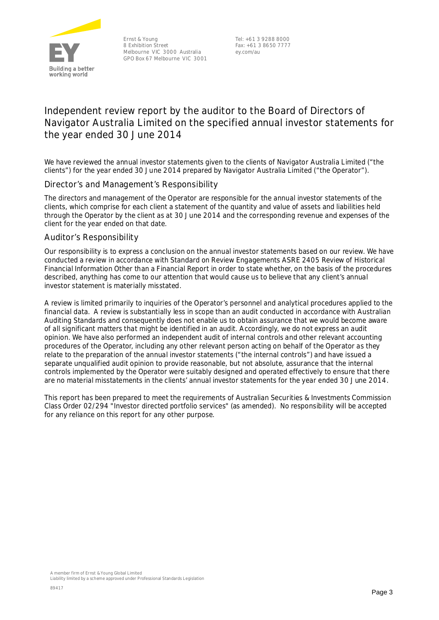

Ernst & Young 8 Exhibition Street Melbourne VIC 3000 Australia GPO Box 67 Melbourne VIC 3001

Tel: +61 3 9288 8000 Fax: +61 3 8650 7777 ey.com/au

# **Independent review report by the auditor to the Board of Directors of Navigator Australia Limited on the specified annual investor statements for the year ended 30 June 2014**

We have reviewed the annual investor statements given to the clients of Navigator Australia Limited ("the clients") for the year ended 30 June 2014 prepared by Navigator Australia Limited ("the Operator").

## Director's and Management's Responsibility

The directors and management of the Operator are responsible for the annual investor statements of the clients, which comprise for each client a statement of the quantity and value of assets and liabilities held through the Operator by the client as at 30 June 2014 and the corresponding revenue and expenses of the client for the year ended on that date.

#### Auditor's Responsibility

Our responsibility is to express a conclusion on the annual investor statements based on our review. We have conducted a review in accordance with Standard on Review Engagements ASRE 2405 *Review of Historical Financial Information Other than a Financial Report* in order to state whether, on the basis of the procedures described, anything has come to our attention that would cause us to believe that any client's annual investor statement is materially misstated.

A review is limited primarily to inquiries of the Operator's personnel and analytical procedures applied to the financial data. A review is substantially less in scope than an audit conducted in accordance with Australian Auditing Standards and consequently does not enable us to obtain assurance that we would become aware of all significant matters that might be identified in an audit. Accordingly, we do not express an audit opinion. We have also performed an independent audit of internal controls and other relevant accounting procedures of the Operator, including any other relevant person acting on behalf of the Operator as they relate to the preparation of the annual investor statements ("the internal controls") and have issued a separate unqualified audit opinion to provide reasonable, but not absolute, assurance that the internal controls implemented by the Operator were suitably designed and operated effectively to ensure that there are no material misstatements in the clients' annual investor statements for the year ended 30 June 2014.

This report has been prepared to meet the requirements of Australian Securities & Investments Commission Class Order 02/294 "Investor directed portfolio services" (as amended). No responsibility will be accepted for any reliance on this report for any other purpose.